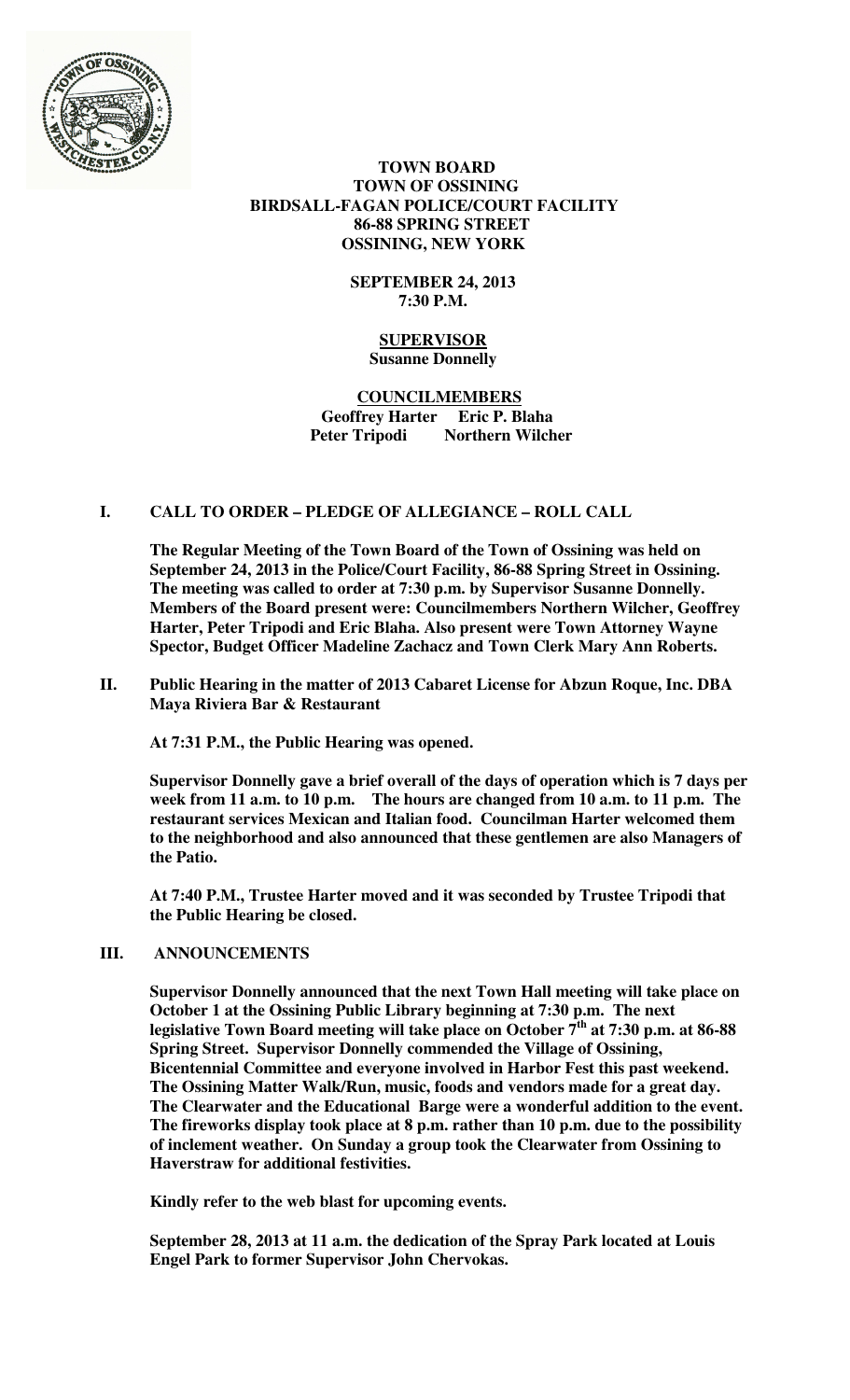

# **TOWN BOARD TOWN OF OSSINING BIRDSALL-FAGAN POLICE/COURT FACILITY 86-88 SPRING STREET OSSINING, NEW YORK**

# **SEPTEMBER 24, 2013 7:30 P.M.**

# **SUPERVISOR Susanne Donnelly**

# **COUNCILMEMBERS Geoffrey Harter Eric P. Blaha Northern Wilcher**

# **I. CALL TO ORDER – PLEDGE OF ALLEGIANCE – ROLL CALL**

**The Regular Meeting of the Town Board of the Town of Ossining was held on September 24, 2013 in the Police/Court Facility, 86-88 Spring Street in Ossining. The meeting was called to order at 7:30 p.m. by Supervisor Susanne Donnelly. Members of the Board present were: Councilmembers Northern Wilcher, Geoffrey Harter, Peter Tripodi and Eric Blaha. Also present were Town Attorney Wayne Spector, Budget Officer Madeline Zachacz and Town Clerk Mary Ann Roberts.** 

**II. Public Hearing in the matter of 2013 Cabaret License for Abzun Roque, Inc. DBA Maya Riviera Bar & Restaurant** 

**At 7:31 P.M., the Public Hearing was opened.** 

**Supervisor Donnelly gave a brief overall of the days of operation which is 7 days per week from 11 a.m. to 10 p.m. The hours are changed from 10 a.m. to 11 p.m. The restaurant services Mexican and Italian food. Councilman Harter welcomed them to the neighborhood and also announced that these gentlemen are also Managers of the Patio.** 

**At 7:40 P.M., Trustee Harter moved and it was seconded by Trustee Tripodi that the Public Hearing be closed.** 

# **III. ANNOUNCEMENTS**

**Supervisor Donnelly announced that the next Town Hall meeting will take place on October 1 at the Ossining Public Library beginning at 7:30 p.m. The next legislative Town Board meeting will take place on October 7th at 7:30 p.m. at 86-88 Spring Street. Supervisor Donnelly commended the Village of Ossining, Bicentennial Committee and everyone involved in Harbor Fest this past weekend. The Ossining Matter Walk/Run, music, foods and vendors made for a great day. The Clearwater and the Educational Barge were a wonderful addition to the event. The fireworks display took place at 8 p.m. rather than 10 p.m. due to the possibility of inclement weather. On Sunday a group took the Clearwater from Ossining to Haverstraw for additional festivities.** 

**Kindly refer to the web blast for upcoming events.** 

**September 28, 2013 at 11 a.m. the dedication of the Spray Park located at Louis Engel Park to former Supervisor John Chervokas.**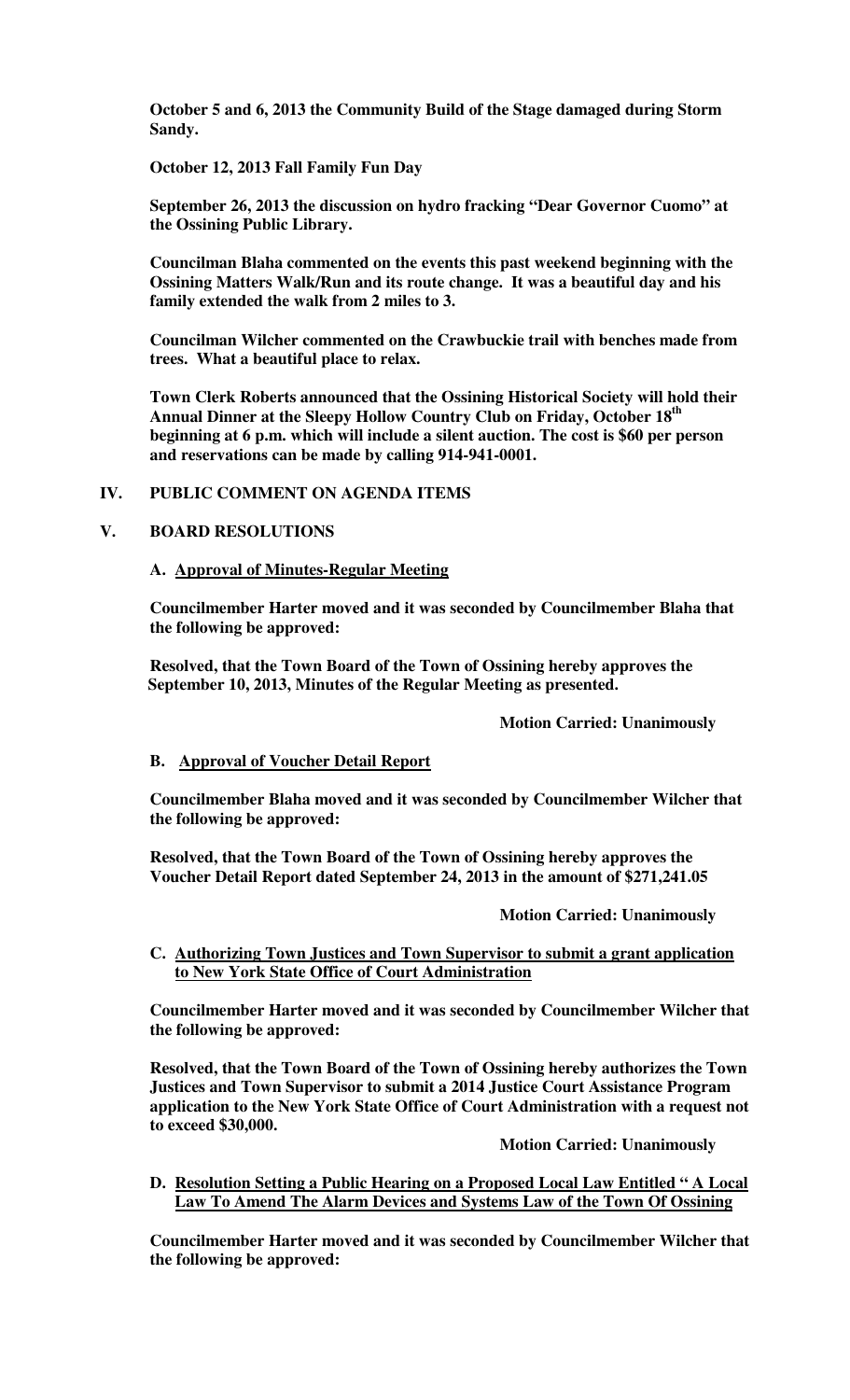**October 5 and 6, 2013 the Community Build of the Stage damaged during Storm Sandy.** 

**October 12, 2013 Fall Family Fun Day** 

**September 26, 2013 the discussion on hydro fracking "Dear Governor Cuomo" at the Ossining Public Library.** 

**Councilman Blaha commented on the events this past weekend beginning with the Ossining Matters Walk/Run and its route change. It was a beautiful day and his family extended the walk from 2 miles to 3.** 

**Councilman Wilcher commented on the Crawbuckie trail with benches made from trees. What a beautiful place to relax.** 

**Town Clerk Roberts announced that the Ossining Historical Society will hold their Annual Dinner at the Sleepy Hollow Country Club on Friday, October 18th beginning at 6 p.m. which will include a silent auction. The cost is \$60 per person and reservations can be made by calling 914-941-0001.** 

# **IV. PUBLIC COMMENT ON AGENDA ITEMS**

#### **V. BOARD RESOLUTIONS**

#### **A. Approval of Minutes-Regular Meeting**

**Councilmember Harter moved and it was seconded by Councilmember Blaha that the following be approved:** 

**Resolved, that the Town Board of the Town of Ossining hereby approves the September 10, 2013, Minutes of the Regular Meeting as presented.** 

#### **Motion Carried: Unanimously**

#### **B. Approval of Voucher Detail Report**

**Councilmember Blaha moved and it was seconded by Councilmember Wilcher that the following be approved:** 

**Resolved, that the Town Board of the Town of Ossining hereby approves the Voucher Detail Report dated September 24, 2013 in the amount of \$271,241.05** 

 **Motion Carried: Unanimously** 

**C. Authorizing Town Justices and Town Supervisor to submit a grant application to New York State Office of Court Administration**

**Councilmember Harter moved and it was seconded by Councilmember Wilcher that the following be approved:** 

**Resolved, that the Town Board of the Town of Ossining hereby authorizes the Town Justices and Town Supervisor to submit a 2014 Justice Court Assistance Program application to the New York State Office of Court Administration with a request not to exceed \$30,000.** 

 **Motion Carried: Unanimously** 

**D. Resolution Setting a Public Hearing on a Proposed Local Law Entitled " A Local Law To Amend The Alarm Devices and Systems Law of the Town Of Ossining**

**Councilmember Harter moved and it was seconded by Councilmember Wilcher that the following be approved:**